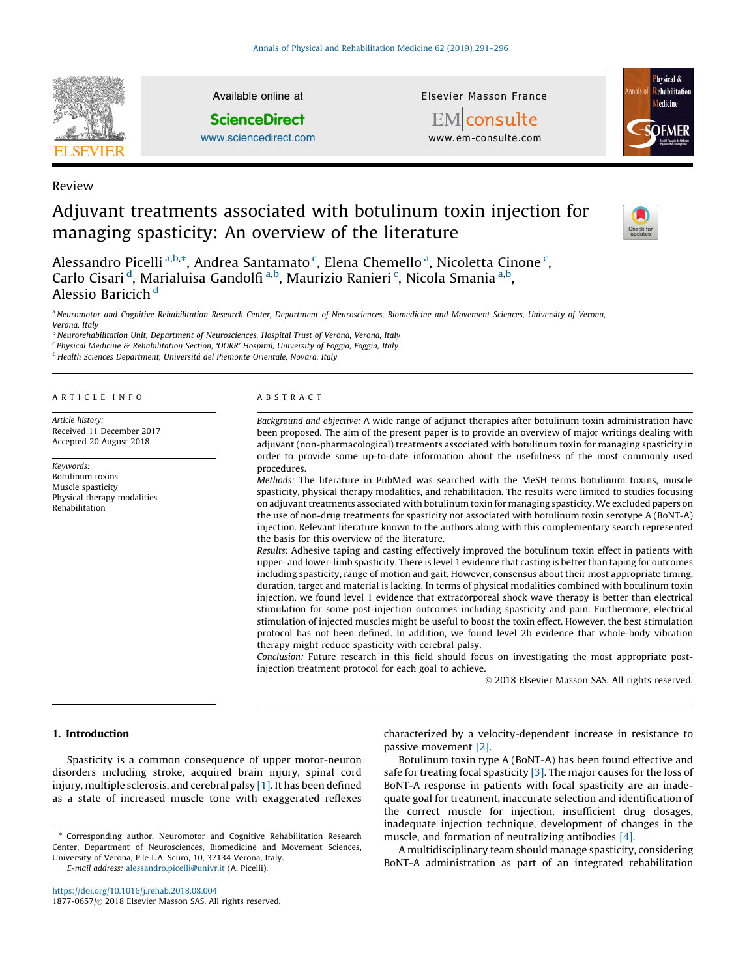

Review

Available online at

**ScienceDirect** 

[www.sciencedirect.com](http://www.sciencedirect.com/science/journal/18770657)

Elsevier Masson France



EMconsulte www.em-consulte.com

# Adjuvant treatments associated with botulinum toxin injection for managing spasticity: An overview of the literature



Alessandro Picelli <sup>a,b,\*</sup>, Andrea Santamato <sup>c</sup>, Elena Chemello <sup>a</sup>, Nicoletta Cinone <sup>c</sup>, Carlo Cisari <sup>d</sup>, Marialuisa Gandolfi <sup>a,b</sup>, Maurizio Ranieri <sup>c</sup>, Nicola Smania <sup>a,b</sup>, Alessio Baricich <sup>d</sup>

a Neuromotor and Cognitive Rehabilitation Research Center, Department of Neurosciences, Biomedicine and Movement Sciences, University of Verona, Verona, Italy

<sup>b</sup> Neurorehabilitation Unit, Department of Neurosciences, Hospital Trust of Verona, Verona, Italy

<sup>c</sup> Physical Medicine & Rehabilitation Section, 'OORR' Hospital, University of Foggia, Foggia, Italy

<sup>d</sup> Health Sciences Department, Università del Piemonte Orientale, Novara, Italy

#### ARTICLE INFO

Article history: Received 11 December 2017 Accepted 20 August 2018

Keywords: Botulinum toxins Muscle spasticity Physical therapy modalities Rehabilitation

#### ABSTRACT

Background and objective: A wide range of adjunct therapies after botulinum toxin administration have been proposed. The aim of the present paper is to provide an overview of major writings dealing with adjuvant (non-pharmacological) treatments associated with botulinum toxin for managing spasticity in order to provide some up-to-date information about the usefulness of the most commonly used procedures.

Methods: The literature in PubMed was searched with the MeSH terms botulinum toxins, muscle spasticity, physical therapy modalities, and rehabilitation. The results were limited to studies focusing on adjuvant treatments associated with botulinum toxin for managing spasticity. We excluded papers on the use of non-drug treatments for spasticity not associated with botulinum toxin serotype A (BoNT-A) injection. Relevant literature known to the authors along with this complementary search represented the basis for this overview of the literature.

Results: Adhesive taping and casting effectively improved the botulinum toxin effect in patients with upper- and lower-limb spasticity. There is level 1 evidence that casting is better than taping for outcomes including spasticity, range of motion and gait. However, consensus about their most appropriate timing, duration, target and material is lacking. In terms of physical modalities combined with botulinum toxin injection, we found level 1 evidence that extracorporeal shock wave therapy is better than electrical stimulation for some post-injection outcomes including spasticity and pain. Furthermore, electrical stimulation of injected muscles might be useful to boost the toxin effect. However, the best stimulation protocol has not been defined. In addition, we found level 2b evidence that whole-body vibration therapy might reduce spasticity with cerebral palsy.

Conclusion: Future research in this field should focus on investigating the most appropriate postinjection treatment protocol for each goal to achieve.

-<sup>C</sup> 2018 Elsevier Masson SAS. All rights reserved.

# 1. Introduction

Spasticity is a common consequence of upper motor-neuron disorders including stroke, acquired brain injury, spinal cord injury, multiple sclerosis, and cerebral palsy [\[1\].](#page-3-0) It has been defined as a state of increased muscle tone with exaggerated reflexes

E-mail address: [alessandro.picelli@univr.it](mailto:alessandro.picelli@univr.it) (A. Picelli).

<https://doi.org/10.1016/j.rehab.2018.08.004> 1877-0657/© 2018 Elsevier Masson SAS. All rights reserved. characterized by a velocity-dependent increase in resistance to passive movement [\[2\]](#page-3-0).

Botulinum toxin type A (BoNT-A) has been found effective and safe for treating focal spasticity [\[3\].](#page-3-0) The major causes for the loss of BoNT-A response in patients with focal spasticity are an inadequate goal for treatment, inaccurate selection and identification of the correct muscle for injection, insufficient drug dosages, inadequate injection technique, development of changes in the muscle, and formation of neutralizing antibodies [\[4\].](#page-4-0)

A multidisciplinary team should manage spasticity, considering BoNT-A administration as part of an integrated rehabilitation

Corresponding author. Neuromotor and Cognitive Rehabilitation Research Center, Department of Neurosciences, Biomedicine and Movement Sciences, University of Verona, P.le L.A. Scuro, 10, 37134 Verona, Italy.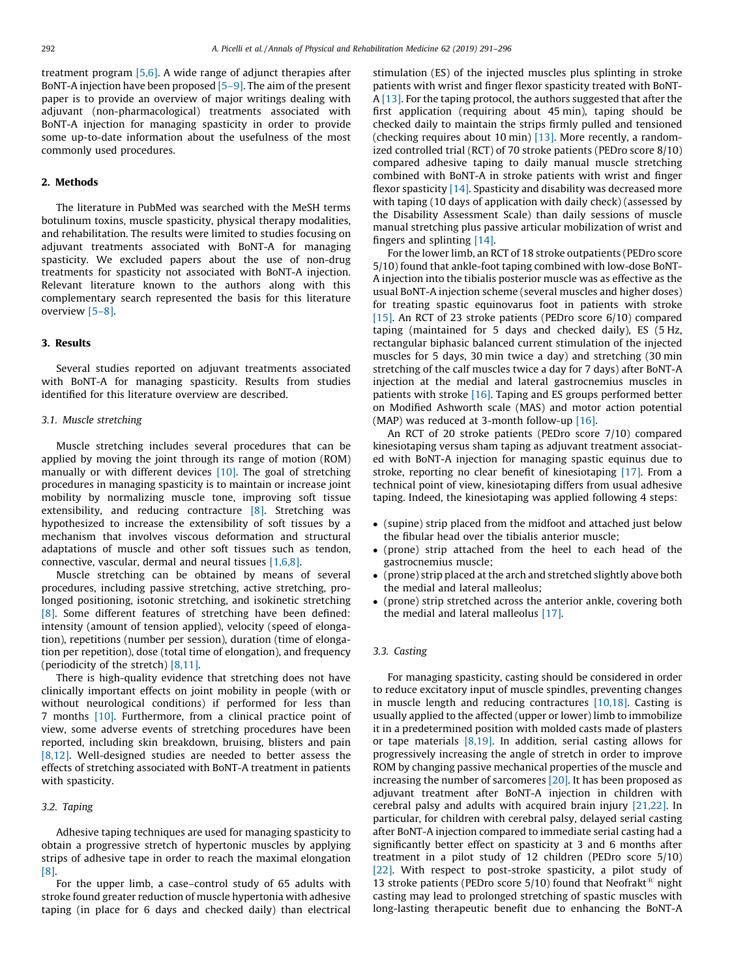treatment program  $[5,6]$ . A wide range of adjunct therapies after BoNT-A injection have been proposed [\[5–9\]](#page-4-0). The aim of the present paper is to provide an overview of major writings dealing with adjuvant (non-pharmacological) treatments associated with BoNT-A injection for managing spasticity in order to provide some up-to-date information about the usefulness of the most commonly used procedures.

# 2. Methods

The literature in PubMed was searched with the MeSH terms botulinum toxins, muscle spasticity, physical therapy modalities, and rehabilitation. The results were limited to studies focusing on adjuvant treatments associated with BoNT-A for managing spasticity. We excluded papers about the use of non-drug treatments for spasticity not associated with BoNT-A injection. Relevant literature known to the authors along with this complementary search represented the basis for this literature overview [\[5–8\]](#page-4-0).

# 3. Results

Several studies reported on adjuvant treatments associated with BoNT-A for managing spasticity. Results from studies identified for this literature overview are described.

# 3.1. Muscle stretching

Muscle stretching includes several procedures that can be applied by moving the joint through its range of motion (ROM) manually or with different devices [\[10\]](#page-4-0). The goal of stretching procedures in managing spasticity is to maintain or increase joint mobility by normalizing muscle tone, improving soft tissue extensibility, and reducing contracture [\[8\]](#page-4-0). Stretching was hypothesized to increase the extensibility of soft tissues by a mechanism that involves viscous deformation and structural adaptations of muscle and other soft tissues such as tendon, connective, vascular, dermal and neural tissues [\[1,6,8\]](#page-3-0).

Muscle stretching can be obtained by means of several procedures, including passive stretching, active stretching, prolonged positioning, isotonic stretching, and isokinetic stretching [\[8\].](#page-4-0) Some different features of stretching have been defined: intensity (amount of tension applied), velocity (speed of elongation), repetitions (number per session), duration (time of elongation per repetition), dose (total time of elongation), and frequency (periodicity of the stretch) [\[8,11\].](#page-4-0)

There is high-quality evidence that stretching does not have clinically important effects on joint mobility in people (with or without neurological conditions) if performed for less than 7 months [\[10\]](#page-4-0). Furthermore, from a clinical practice point of view, some adverse events of stretching procedures have been reported, including skin breakdown, bruising, blisters and pain [\[8,12\]](#page-4-0). Well-designed studies are needed to better assess the effects of stretching associated with BoNT-A treatment in patients with spasticity.

### 3.2. Taping

Adhesive taping techniques are used for managing spasticity to obtain a progressive stretch of hypertonic muscles by applying strips of adhesive tape in order to reach the maximal elongation [\[8\].](#page-4-0)

For the upper limb, a case–control study of 65 adults with stroke found greater reduction of muscle hypertonia with adhesive taping (in place for 6 days and checked daily) than electrical stimulation (ES) of the injected muscles plus splinting in stroke patients with wrist and finger flexor spasticity treated with BoNT-A [\[13\].](#page-4-0) For the taping protocol, the authors suggested that after the first application (requiring about 45 min), taping should be checked daily to maintain the strips firmly pulled and tensioned (checking requires about 10 min) [\[13\].](#page-4-0) More recently, a randomized controlled trial (RCT) of 70 stroke patients (PEDro score 8/10) compared adhesive taping to daily manual muscle stretching combined with BoNT-A in stroke patients with wrist and finger flexor spasticity [\[14\].](#page-4-0) Spasticity and disability was decreased more with taping (10 days of application with daily check) (assessed by the Disability Assessment Scale) than daily sessions of muscle manual stretching plus passive articular mobilization of wrist and fingers and splinting [\[14\].](#page-4-0)

For the lower limb, an RCT of 18 stroke outpatients (PEDro score 5/10) found that ankle-foot taping combined with low-dose BoNT-A injection into the tibialis posterior muscle was as effective as the usual BoNT-A injection scheme (several muscles and higher doses) for treating spastic equinovarus foot in patients with stroke [\[15\]](#page-4-0). An RCT of 23 stroke patients (PEDro score 6/10) compared taping (maintained for 5 days and checked daily), ES (5 Hz, rectangular biphasic balanced current stimulation of the injected muscles for 5 days, 30 min twice a day) and stretching (30 min stretching of the calf muscles twice a day for 7 days) after BoNT-A injection at the medial and lateral gastrocnemius muscles in patients with stroke [\[16\]](#page-4-0). Taping and ES groups performed better on Modified Ashworth scale (MAS) and motor action potential (MAP) was reduced at 3-month follow-up [\[16\]](#page-4-0).

An RCT of 20 stroke patients (PEDro score 7/10) compared kinesiotaping versus sham taping as adjuvant treatment associated with BoNT-A injection for managing spastic equinus due to stroke, reporting no clear benefit of kinesiotaping [\[17\].](#page-4-0) From a technical point of view, kinesiotaping differs from usual adhesive taping. Indeed, the kinesiotaping was applied following 4 steps:

- (supine) strip placed from the midfoot and attached just below the fibular head over the tibialis anterior muscle;
- (prone) strip attached from the heel to each head of the gastrocnemius muscle;
- (prone) strip placed at the arch and stretched slightly above both the medial and lateral malleolus;
- (prone) strip stretched across the anterior ankle, covering both the medial and lateral malleolus [\[17\].](#page-4-0)

#### 3.3. Casting

For managing spasticity, casting should be considered in order to reduce excitatory input of muscle spindles, preventing changes in muscle length and reducing contractures [\[10,18\]](#page-4-0). Casting is usually applied to the affected (upper or lower) limb to immobilize it in a predetermined position with molded casts made of plasters or tape materials [\[8,19\]](#page-4-0). In addition, serial casting allows for progressively increasing the angle of stretch in order to improve ROM by changing passive mechanical properties of the muscle and increasing the number of sarcomeres [\[20\].](#page-4-0) It has been proposed as adjuvant treatment after BoNT-A injection in children with cerebral palsy and adults with acquired brain injury [\[21,22\].](#page-4-0) In particular, for children with cerebral palsy, delayed serial casting after BoNT-A injection compared to immediate serial casting had a significantly better effect on spasticity at 3 and 6 months after treatment in a pilot study of 12 children (PEDro score 5/10) [\[22\]](#page-4-0). With respect to post-stroke spasticity, a pilot study of 13 stroke patients (PEDro score 5/10) found that Neofrakt<sup>®</sup> night casting may lead to prolonged stretching of spastic muscles with long-lasting therapeutic benefit due to enhancing the BoNT-A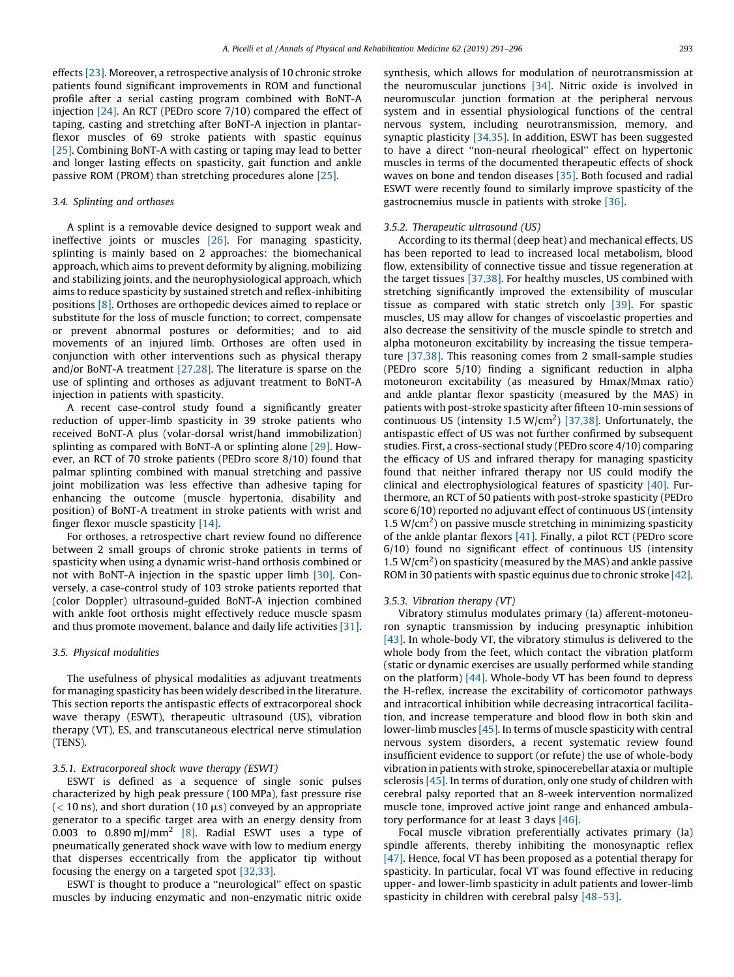effects [\[23\].](#page-4-0) Moreover, a retrospective analysis of 10 chronic stroke patients found significant improvements in ROM and functional profile after a serial casting program combined with BoNT-A injection [\[24\].](#page-4-0) An RCT (PEDro score 7/10) compared the effect of taping, casting and stretching after BoNT-A injection in plantarflexor muscles of 69 stroke patients with spastic equinus [\[25\]](#page-4-0). Combining BoNT-A with casting or taping may lead to better and longer lasting effects on spasticity, gait function and ankle passive ROM (PROM) than stretching procedures alone [\[25\]](#page-4-0).

## 3.4. Splinting and orthoses

A splint is a removable device designed to support weak and ineffective joints or muscles [\[26\]](#page-4-0). For managing spasticity, splinting is mainly based on 2 approaches: the biomechanical approach, which aims to prevent deformity by aligning, mobilizing and stabilizing joints, and the neurophysiological approach, which aims to reduce spasticity by sustained stretch and reflex-inhibiting positions [\[8\]](#page-4-0). Orthoses are orthopedic devices aimed to replace or substitute for the loss of muscle function; to correct, compensate or prevent abnormal postures or deformities; and to aid movements of an injured limb. Orthoses are often used in conjunction with other interventions such as physical therapy and/or BoNT-A treatment [\[27,28\]](#page-4-0). The literature is sparse on the use of splinting and orthoses as adjuvant treatment to BoNT-A injection in patients with spasticity.

A recent case-control study found a significantly greater reduction of upper-limb spasticity in 39 stroke patients who received BoNT-A plus (volar-dorsal wrist/hand immobilization) splinting as compared with BoNT-A or splinting alone [\[29\].](#page-4-0) However, an RCT of 70 stroke patients (PEDro score 8/10) found that palmar splinting combined with manual stretching and passive joint mobilization was less effective than adhesive taping for enhancing the outcome (muscle hypertonia, disability and position) of BoNT-A treatment in stroke patients with wrist and finger flexor muscle spasticity [\[14\]](#page-4-0).

For orthoses, a retrospective chart review found no difference between 2 small groups of chronic stroke patients in terms of spasticity when using a dynamic wrist-hand orthosis combined or not with BoNT-A injection in the spastic upper limb [\[30\].](#page-4-0) Conversely, a case-control study of 103 stroke patients reported that (color Doppler) ultrasound-guided BoNT-A injection combined with ankle foot orthosis might effectively reduce muscle spasm and thus promote movement, balance and daily life activities [\[31\].](#page-4-0)

### 3.5. Physical modalities

The usefulness of physical modalities as adjuvant treatments for managing spasticity has been widely described in the literature. This section reports the antispastic effects of extracorporeal shock wave therapy (ESWT), therapeutic ultrasound (US), vibration therapy (VT), ES, and transcutaneous electrical nerve stimulation (TENS).

#### 3.5.1. Extracorporeal shock wave therapy (ESWT)

ESWT is defined as a sequence of single sonic pulses characterized by high peak pressure (100 MPa), fast pressure rise  $(< 10 \text{ ns})$ , and short duration (10  $\mu$ s) conveyed by an appropriate generator to a specific target area with an energy density from 0.003 to 0.890 mJ/mm<sup>2</sup> [\[8\]](#page-4-0). Radial ESWT uses a type of pneumatically generated shock wave with low to medium energy that disperses eccentrically from the applicator tip without focusing the energy on a targeted spot [\[32,33\].](#page-4-0)

ESWT is thought to produce a ''neurological'' effect on spastic muscles by inducing enzymatic and non-enzymatic nitric oxide synthesis, which allows for modulation of neurotransmission at the neuromuscular junctions [\[34\]](#page-4-0). Nitric oxide is involved in neuromuscular junction formation at the peripheral nervous system and in essential physiological functions of the central nervous system, including neurotransmission, memory, and synaptic plasticity [\[34,35\]](#page-4-0). In addition, ESWT has been suggested to have a direct ''non-neural rheological'' effect on hypertonic muscles in terms of the documented therapeutic effects of shock waves on bone and tendon diseases [\[35\]](#page-4-0). Both focused and radial ESWT were recently found to similarly improve spasticity of the gastrocnemius muscle in patients with stroke [\[36\].](#page-4-0)

#### 3.5.2. Therapeutic ultrasound (US)

According to its thermal (deep heat) and mechanical effects, US has been reported to lead to increased local metabolism, blood flow, extensibility of connective tissue and tissue regeneration at the target tissues [\[37,38\].](#page-4-0) For healthy muscles, US combined with stretching significantly improved the extensibility of muscular tissue as compared with static stretch only [\[39\]](#page-4-0). For spastic muscles, US may allow for changes of viscoelastic properties and also decrease the sensitivity of the muscle spindle to stretch and alpha motoneuron excitability by increasing the tissue temperature [\[37,38\].](#page-4-0) This reasoning comes from 2 small-sample studies (PEDro score 5/10) finding a significant reduction in alpha motoneuron excitability (as measured by Hmax/Mmax ratio) and ankle plantar flexor spasticity (measured by the MAS) in patients with post-stroke spasticity after fifteen 10-min sessions of continuous US (intensity 1.5  $W/cm<sup>2</sup>$ ) [\[37,38\].](#page-4-0) Unfortunately, the antispastic effect of US was not further confirmed by subsequent studies. First, a cross-sectional study (PEDro score 4/10) comparing the efficacy of US and infrared therapy for managing spasticity found that neither infrared therapy nor US could modify the clinical and electrophysiological features of spasticity [\[40\]](#page-4-0). Furthermore, an RCT of 50 patients with post-stroke spasticity (PEDro score 6/10) reported no adjuvant effect of continuous US (intensity  $1.5 W/cm<sup>2</sup>$ ) on passive muscle stretching in minimizing spasticity of the ankle plantar flexors [\[41\]](#page-4-0). Finally, a pilot RCT (PEDro score 6/10) found no significant effect of continuous US (intensity  $1.5 W/cm<sup>2</sup>$ ) on spasticity (measured by the MAS) and ankle passive ROM in 30 patients with spastic equinus due to chronic stroke [\[42\].](#page-4-0)

#### 3.5.3. Vibration therapy (VT)

Vibratory stimulus modulates primary (Ia) afferent-motoneuron synaptic transmission by inducing presynaptic inhibition [\[43\]](#page-4-0). In whole-body VT, the vibratory stimulus is delivered to the whole body from the feet, which contact the vibration platform (static or dynamic exercises are usually performed while standing on the platform) [\[44\].](#page-4-0) Whole-body VT has been found to depress the H-reflex, increase the excitability of corticomotor pathways and intracortical inhibition while decreasing intracortical facilitation, and increase temperature and blood flow in both skin and lower-limb muscles [\[45\]](#page-4-0). In terms of muscle spasticity with central nervous system disorders, a recent systematic review found insufficient evidence to support (or refute) the use of whole-body vibration in patients with stroke, spinocerebellar ataxia or multiple sclerosis [\[45\]](#page-4-0). In terms of duration, only one study of children with cerebral palsy reported that an 8-week intervention normalized muscle tone, improved active joint range and enhanced ambulatory performance for at least 3 days [\[46\]](#page-4-0).

Focal muscle vibration preferentially activates primary (Ia) spindle afferents, thereby inhibiting the monosynaptic reflex [\[47\]](#page-4-0). Hence, focal VT has been proposed as a potential therapy for spasticity. In particular, focal VT was found effective in reducing upper- and lower-limb spasticity in adult patients and lower-limb spasticity in children with cerebral palsy [\[48–53\]](#page-4-0).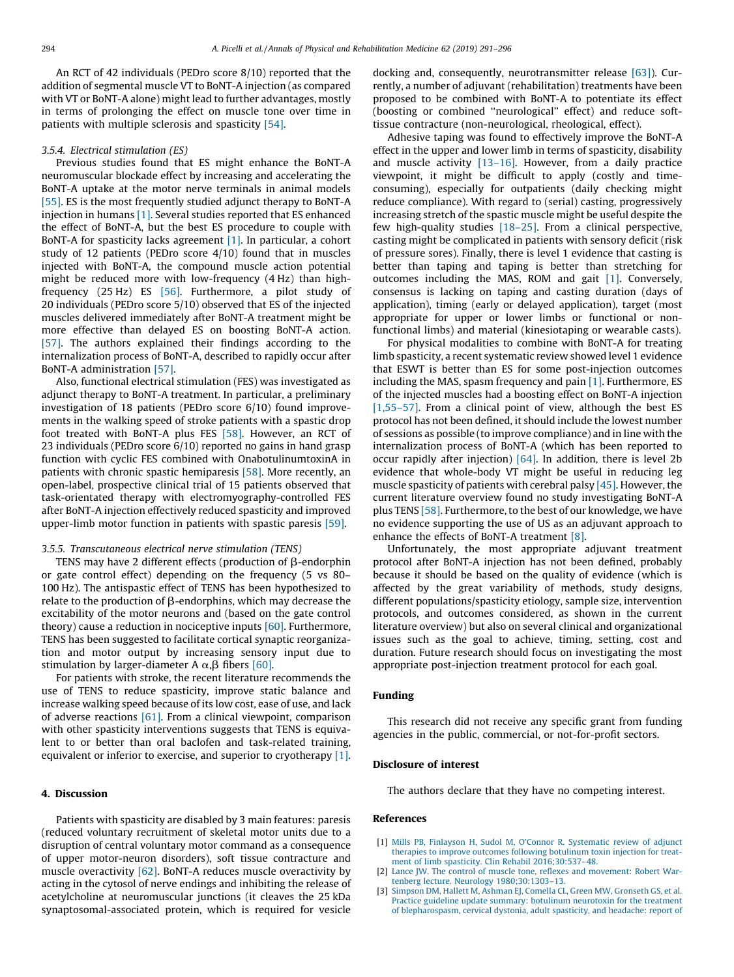<span id="page-3-0"></span>An RCT of 42 individuals (PEDro score 8/10) reported that the addition of segmental muscle VT to BoNT-A injection (as compared with VT or BoNT-A alone) might lead to further advantages, mostly in terms of prolonging the effect on muscle tone over time in patients with multiple sclerosis and spasticity [\[54\]](#page-4-0).

# 3.5.4. Electrical stimulation (ES)

Previous studies found that ES might enhance the BoNT-A neuromuscular blockade effect by increasing and accelerating the BoNT-A uptake at the motor nerve terminals in animal models [\[55\]](#page-4-0). ES is the most frequently studied adjunct therapy to BoNT-A injection in humans [1]. Several studies reported that ES enhanced the effect of BoNT-A, but the best ES procedure to couple with BoNT-A for spasticity lacks agreement [1]. In particular, a cohort study of 12 patients (PEDro score 4/10) found that in muscles injected with BoNT-A, the compound muscle action potential might be reduced more with low-frequency (4 Hz) than highfrequency (25 Hz) ES [\[56\]](#page-4-0). Furthermore, a pilot study of 20 individuals (PEDro score 5/10) observed that ES of the injected muscles delivered immediately after BoNT-A treatment might be more effective than delayed ES on boosting BoNT-A action. [\[57\]](#page-5-0). The authors explained their findings according to the internalization process of BoNT-A, described to rapidly occur after BoNT-A administration [\[57\].](#page-5-0)

Also, functional electrical stimulation (FES) was investigated as adjunct therapy to BoNT-A treatment. In particular, a preliminary investigation of 18 patients (PEDro score 6/10) found improvements in the walking speed of stroke patients with a spastic drop foot treated with BoNT-A plus FES [\[58\]](#page-5-0). However, an RCT of 23 individuals (PEDro score 6/10) reported no gains in hand grasp function with cyclic FES combined with OnabotulinumtoxinA in patients with chronic spastic hemiparesis [\[58\]](#page-5-0). More recently, an open-label, prospective clinical trial of 15 patients observed that task-orientated therapy with electromyography-controlled FES after BoNT-A injection effectively reduced spasticity and improved upper-limb motor function in patients with spastic paresis [\[59\]](#page-5-0).

#### 3.5.5. Transcutaneous electrical nerve stimulation (TENS)

TENS may have 2 different effects (production of  $\beta$ -endorphin or gate control effect) depending on the frequency (5 vs 80– 100 Hz). The antispastic effect of TENS has been hypothesized to relate to the production of  $\beta$ -endorphins, which may decrease the excitability of the motor neurons and (based on the gate control theory) cause a reduction in nociceptive inputs [\[60\]](#page-5-0). Furthermore, TENS has been suggested to facilitate cortical synaptic reorganization and motor output by increasing sensory input due to stimulation by larger-diameter A  $\alpha$ ,  $\beta$  fibers [\[60\]](#page-5-0).

For patients with stroke, the recent literature recommends the use of TENS to reduce spasticity, improve static balance and increase walking speed because of its low cost, ease of use, and lack of adverse reactions [\[61\].](#page-5-0) From a clinical viewpoint, comparison with other spasticity interventions suggests that TENS is equivalent to or better than oral baclofen and task-related training, equivalent or inferior to exercise, and superior to cryotherapy [1].

### 4. Discussion

Patients with spasticity are disabled by 3 main features: paresis (reduced voluntary recruitment of skeletal motor units due to a disruption of central voluntary motor command as a consequence of upper motor-neuron disorders), soft tissue contracture and muscle overactivity [\[62\].](#page-5-0) BoNT-A reduces muscle overactivity by acting in the cytosol of nerve endings and inhibiting the release of acetylcholine at neuromuscular junctions (it cleaves the 25 kDa synaptosomal-associated protein, which is required for vesicle

docking and, consequently, neurotransmitter release [\[63\]](#page-5-0)). Currently, a number of adjuvant (rehabilitation) treatments have been proposed to be combined with BoNT-A to potentiate its effect (boosting or combined ''neurological'' effect) and reduce softtissue contracture (non-neurological, rheological, effect).

Adhesive taping was found to effectively improve the BoNT-A effect in the upper and lower limb in terms of spasticity, disability and muscle activity [\[13–16\]](#page-4-0). However, from a daily practice viewpoint, it might be difficult to apply (costly and timeconsuming), especially for outpatients (daily checking might reduce compliance). With regard to (serial) casting, progressively increasing stretch of the spastic muscle might be useful despite the few high-quality studies [\[18–25\].](#page-4-0) From a clinical perspective, casting might be complicated in patients with sensory deficit (risk of pressure sores). Finally, there is level 1 evidence that casting is better than taping and taping is better than stretching for outcomes including the MAS, ROM and gait [1]. Conversely, consensus is lacking on taping and casting duration (days of application), timing (early or delayed application), target (most appropriate for upper or lower limbs or functional or nonfunctional limbs) and material (kinesiotaping or wearable casts).

For physical modalities to combine with BoNT-A for treating limb spasticity, a recent systematic review showed level 1 evidence that ESWT is better than ES for some post-injection outcomes including the MAS, spasm frequency and pain [1]. Furthermore, ES of the injected muscles had a boosting effect on BoNT-A injection [1,55–57]. From a clinical point of view, although the best ES protocol has not been defined, it should include the lowest number of sessions as possible (to improve compliance) and in line with the internalization process of BoNT-A (which has been reported to occur rapidly after injection) [\[64\]](#page-5-0). In addition, there is level 2b evidence that whole-body VT might be useful in reducing leg muscle spasticity of patients with cerebral palsy [\[45\].](#page-4-0) However, the current literature overview found no study investigating BoNT-A plus TENS [\[58\]](#page-5-0). Furthermore, to the best of our knowledge, we have no evidence supporting the use of US as an adjuvant approach to enhance the effects of BoNT-A treatment [\[8\]](#page-4-0).

Unfortunately, the most appropriate adjuvant treatment protocol after BoNT-A injection has not been defined, probably because it should be based on the quality of evidence (which is affected by the great variability of methods, study designs, different populations/spasticity etiology, sample size, intervention protocols, and outcomes considered, as shown in the current literature overview) but also on several clinical and organizational issues such as the goal to achieve, timing, setting, cost and duration. Future research should focus on investigating the most appropriate post-injection treatment protocol for each goal.

### Funding

This research did not receive any specific grant from funding agencies in the public, commercial, or not-for-profit sectors.

#### Disclosure of interest

The authors declare that they have no competing interest.

#### References

- [1] [Mills PB, Finlayson H, Sudol M, O'Connor R. Systematic review of adjunct](http://refhub.elsevier.com/S1877-0657(18)31445-3/sbref0325) [therapies to improve outcomes following botulinum toxin injection for treat](http://refhub.elsevier.com/S1877-0657(18)31445-3/sbref0325)[ment of limb spasticity. Clin Rehabil 2016;30:537–48.](http://refhub.elsevier.com/S1877-0657(18)31445-3/sbref0325)
- [Lance JW. The control of muscle tone, reflexes and movement: Robert War](http://refhub.elsevier.com/S1877-0657(18)31445-3/sbref0330)[tenberg lecture. Neurology 1980;30:1303–13.](http://refhub.elsevier.com/S1877-0657(18)31445-3/sbref0330)
- [3] [Simpson DM, Hallett M, Ashman EJ, Comella CL, Green MW, Gronseth GS, et al.](http://refhub.elsevier.com/S1877-0657(18)31445-3/sbref0335) [Practice guideline update summary: botulinum neurotoxin for the treatment](http://refhub.elsevier.com/S1877-0657(18)31445-3/sbref0335) [of blepharospasm, cervical dystonia, adult spasticity, and headache: report of](http://refhub.elsevier.com/S1877-0657(18)31445-3/sbref0335)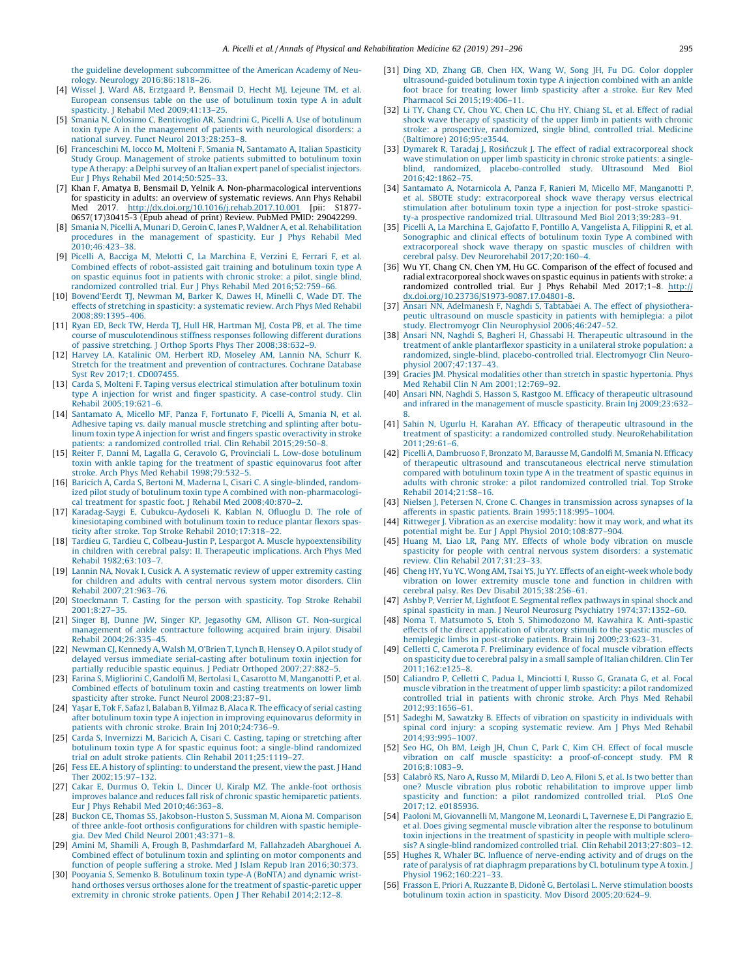<span id="page-4-0"></span>[the guideline development subcommittee of the American Academy of Neu](http://refhub.elsevier.com/S1877-0657(18)31445-3/sbref0335)[rology. Neurology 2016;86:1818–26.](http://refhub.elsevier.com/S1877-0657(18)31445-3/sbref0335)

- [4] [Wissel J, Ward AB, Erztgaard P, Bensmail D, Hecht MJ, Lejeune TM, et al.](http://refhub.elsevier.com/S1877-0657(18)31445-3/sbref0340) [European consensus table on the use of botulinum toxin type A in adult](http://refhub.elsevier.com/S1877-0657(18)31445-3/sbref0340) [spasticity. J Rehabil Med 2009;41:13–25](http://refhub.elsevier.com/S1877-0657(18)31445-3/sbref0340).
- [5] [Smania N, Colosimo C, Bentivoglio AR, Sandrini G, Picelli A. Use of botulinum](http://refhub.elsevier.com/S1877-0657(18)31445-3/sbref0345) [toxin type A in the management of patients with neurological disorders: a](http://refhub.elsevier.com/S1877-0657(18)31445-3/sbref0345) [national survey. Funct Neurol 2013;28:253–8.](http://refhub.elsevier.com/S1877-0657(18)31445-3/sbref0345)
- [6] [Franceschini M, Iocco M, Molteni F, Smania N, Santamato A, Italian Spasticity](http://refhub.elsevier.com/S1877-0657(18)31445-3/sbref0350) [Study Group. Management of stroke patients submitted to botulinum toxin](http://refhub.elsevier.com/S1877-0657(18)31445-3/sbref0350) [type A therapy: a Delphi survey of an Italian expert panel of specialist injectors.](http://refhub.elsevier.com/S1877-0657(18)31445-3/sbref0350) [Eur J Phys Rehabil Med 2014;50:525–33](http://refhub.elsevier.com/S1877-0657(18)31445-3/sbref0350).
- [7] Khan F, Amatya B, Bensmail D, Yelnik A. Non-pharmacological interventions for spasticity in adults: an overview of systematic reviews. Ann Phys Rehabil<br>Med 2017. http://dx.doi.org/10.1016/i.rehab.2017.10.001 [pii: S1877-Med 2017[.](http://dx.doi.org/10.1016/j.rehab.2017.10.001) <http://dx.doi.org/10.1016/j.rehab.2017.10.001> [pii: 0657(17)30415-3 (Epub ahead of print) Review. PubMed PMID: 29042299.
- [8] [Smania N, Picelli A, Munari D, Geroin C, Ianes P, Waldner A, et al. Rehabilitation](http://refhub.elsevier.com/S1877-0657(18)31445-3/sbref0360) [procedures in the management of spasticity. Eur J Phys Rehabil Med](http://refhub.elsevier.com/S1877-0657(18)31445-3/sbref0360) [2010;46:423–38.](http://refhub.elsevier.com/S1877-0657(18)31445-3/sbref0360)
- [9] [Picelli A, Bacciga M, Melotti C, La Marchina E, Verzini E, Ferrari F, et al.](http://refhub.elsevier.com/S1877-0657(18)31445-3/sbref0365) [Combined effects of robot-assisted gait training and botulinum toxin type A](http://refhub.elsevier.com/S1877-0657(18)31445-3/sbref0365) [on spastic equinus foot in patients with chronic stroke: a pilot, single blind,](http://refhub.elsevier.com/S1877-0657(18)31445-3/sbref0365) [randomized controlled trial. Eur J Phys Rehabil Med 2016;52:759–66.](http://refhub.elsevier.com/S1877-0657(18)31445-3/sbref0365)
- [10] [Bovend'Eerdt TJ, Newman M, Barker K, Dawes H, Minelli C, Wade DT. The](http://refhub.elsevier.com/S1877-0657(18)31445-3/sbref0370) [effects of stretching in spasticity: a systematic review. Arch Phys Med Rehabil](http://refhub.elsevier.com/S1877-0657(18)31445-3/sbref0370) [2008;89:1395–406.](http://refhub.elsevier.com/S1877-0657(18)31445-3/sbref0370)
- [11] [Ryan ED, Beck TW, Herda TJ, Hull HR, Hartman MJ, Costa PB, et al. The time](http://refhub.elsevier.com/S1877-0657(18)31445-3/sbref0375) [course of musculotendinous stiffness responses following different durations](http://refhub.elsevier.com/S1877-0657(18)31445-3/sbref0375) [of passive stretching. J Orthop Sports Phys Ther 2008;38:632–9](http://refhub.elsevier.com/S1877-0657(18)31445-3/sbref0375).
- [12] [Harvey LA, Katalinic OM, Herbert RD, Moseley AM, Lannin NA, Schurr K.](http://refhub.elsevier.com/S1877-0657(18)31445-3/sbref0380) [Stretch for the treatment and prevention of contractures. Cochrane Database](http://refhub.elsevier.com/S1877-0657(18)31445-3/sbref0380) [Syst Rev 2017;1. CD007455.](http://refhub.elsevier.com/S1877-0657(18)31445-3/sbref0380)
- [13] [Carda S, Molteni F. Taping versus electrical stimulation after botulinum toxin](http://refhub.elsevier.com/S1877-0657(18)31445-3/sbref0385) [type A injection for wrist and finger spasticity. A case-control study. Clin](http://refhub.elsevier.com/S1877-0657(18)31445-3/sbref0385) [Rehabil 2005;19:621–6.](http://refhub.elsevier.com/S1877-0657(18)31445-3/sbref0385)
- [14] [Santamato A, Micello MF, Panza F, Fortunato F, Picelli A, Smania N, et al.](http://refhub.elsevier.com/S1877-0657(18)31445-3/sbref0390) [Adhesive taping vs. daily manual muscle stretching and splinting after botu](http://refhub.elsevier.com/S1877-0657(18)31445-3/sbref0390)[linum toxin type A injection for wrist and fingers spastic overactivity in stroke](http://refhub.elsevier.com/S1877-0657(18)31445-3/sbref0390) [patients: a randomized controlled trial. Clin Rehabil 2015;29:50–8.](http://refhub.elsevier.com/S1877-0657(18)31445-3/sbref0390)
- [15] [Reiter F, Danni M, Lagalla G, Ceravolo G, Provinciali L. Low-dose botulinum](http://refhub.elsevier.com/S1877-0657(18)31445-3/sbref0395) [toxin with ankle taping for the treatment of spastic equinovarus foot after](http://refhub.elsevier.com/S1877-0657(18)31445-3/sbref0395) [stroke. Arch Phys Med Rehabil 1998;79:532–5](http://refhub.elsevier.com/S1877-0657(18)31445-3/sbref0395).
- [16] [Baricich A, Carda S, Bertoni M, Maderna L, Cisari C. A single-blinded, random](http://refhub.elsevier.com/S1877-0657(18)31445-3/sbref0400)[ized pilot study of botulinum toxin type A combined with non-pharmacologi](http://refhub.elsevier.com/S1877-0657(18)31445-3/sbref0400)[cal treatment for spastic foot. J Rehabil Med 2008;40:870–2](http://refhub.elsevier.com/S1877-0657(18)31445-3/sbref0400).
- [17] [Karadag-Saygi E, Cubukcu-Aydoseli K, Kablan N, Ofluoglu D. The role of](http://refhub.elsevier.com/S1877-0657(18)31445-3/sbref0405) [kinesiotaping combined with botulinum toxin to reduce plantar flexors spas](http://refhub.elsevier.com/S1877-0657(18)31445-3/sbref0405)[ticity after stroke. Top Stroke Rehabil 2010;17:318–22.](http://refhub.elsevier.com/S1877-0657(18)31445-3/sbref0405)
- [18] [Tardieu G, Tardieu C, Colbeau-Justin P, Lespargot A. Muscle hypoextensibility](http://refhub.elsevier.com/S1877-0657(18)31445-3/sbref0410) [in children with cerebral palsy: II. Therapeutic implications. Arch Phys Med](http://refhub.elsevier.com/S1877-0657(18)31445-3/sbref0410) [Rehabil 1982;63:103–7.](http://refhub.elsevier.com/S1877-0657(18)31445-3/sbref0410)
- [19] [Lannin NA, Novak I, Cusick A. A systematic review of upper extremity casting](http://refhub.elsevier.com/S1877-0657(18)31445-3/sbref0415) [for children and adults with central nervous system motor disorders. Clin](http://refhub.elsevier.com/S1877-0657(18)31445-3/sbref0415) [Rehabil 2007;21:963–76](http://refhub.elsevier.com/S1877-0657(18)31445-3/sbref0415).
- [20] [Stoeckmann T. Casting for the person with spasticity. Top Stroke Rehabil](http://refhub.elsevier.com/S1877-0657(18)31445-3/sbref0420) [2001;8:27–35.](http://refhub.elsevier.com/S1877-0657(18)31445-3/sbref0420)
- [21] [Singer BJ, Dunne JW, Singer KP, Jegasothy GM, Allison GT. Non-surgical](http://refhub.elsevier.com/S1877-0657(18)31445-3/sbref0425) [management of ankle contracture following acquired brain injury. Disabil](http://refhub.elsevier.com/S1877-0657(18)31445-3/sbref0425) [Rehabil 2004;26:335–45](http://refhub.elsevier.com/S1877-0657(18)31445-3/sbref0425).
- [22] [Newman CJ, Kennedy A, Walsh M, O'Brien T, Lynch B, Hensey O. A pilot study of](http://refhub.elsevier.com/S1877-0657(18)31445-3/sbref0430) [delayed versus immediate serial-casting after botulinum toxin injection for](http://refhub.elsevier.com/S1877-0657(18)31445-3/sbref0430) [partially reducible spastic equinus. J Pediatr Orthoped 2007;27:882–5.](http://refhub.elsevier.com/S1877-0657(18)31445-3/sbref0430)
- [23] [Farina S, Migliorini C, Gandolfi M, Bertolasi L, Casarotto M, Manganotti P, et al.](http://refhub.elsevier.com/S1877-0657(18)31445-3/sbref0435) [Combined effects of botulinum toxin and casting treatments on lower limb](http://refhub.elsevier.com/S1877-0657(18)31445-3/sbref0435) [spasticity after stroke. Funct Neurol 2008;23:87–91](http://refhub.elsevier.com/S1877-0657(18)31445-3/sbref0435).
- [24] Yaşar E, Tok F, Safaz I, Balaban B, Yilmaz B, Alaca R. The efficacy of serial casting [after botulinum toxin type A injection in improving equinovarus deformity in](http://refhub.elsevier.com/S1877-0657(18)31445-3/sbref0440) [patients with chronic stroke. Brain Inj 2010;24:736–9](http://refhub.elsevier.com/S1877-0657(18)31445-3/sbref0440).
- [25] [Carda S, Invernizzi M, Baricich A, Cisari C. Casting, taping or stretching after](http://refhub.elsevier.com/S1877-0657(18)31445-3/sbref0445) [botulinum toxin type A for spastic equinus foot: a single-blind randomized](http://refhub.elsevier.com/S1877-0657(18)31445-3/sbref0445) [trial on adult stroke patients. Clin Rehabil 2011;25:1119–27](http://refhub.elsevier.com/S1877-0657(18)31445-3/sbref0445).
- [26] [Fess EE. A history of splinting: to understand the present, view the past. J Hand](http://refhub.elsevier.com/S1877-0657(18)31445-3/sbref0450) [Ther 2002;15:97–132](http://refhub.elsevier.com/S1877-0657(18)31445-3/sbref0450).
- [27] [Cakar E, Durmus O, Tekin L, Dincer U, Kiralp MZ. The ankle-foot orthosis](http://refhub.elsevier.com/S1877-0657(18)31445-3/sbref0455) [improves balance and reduces fall risk of chronic spastic hemiparetic patients.](http://refhub.elsevier.com/S1877-0657(18)31445-3/sbref0455) [Eur J Phys Rehabil Med 2010;46:363–8.](http://refhub.elsevier.com/S1877-0657(18)31445-3/sbref0455)
- [28] [Buckon CE, Thomas SS, Jakobson-Huston S, Sussman M, Aiona M. Comparison](http://refhub.elsevier.com/S1877-0657(18)31445-3/sbref0460) [of three ankle-foot orthosis configurations for children with spastic hemiple](http://refhub.elsevier.com/S1877-0657(18)31445-3/sbref0460)[gia. Dev Med Child Neurol 2001;43:371–8](http://refhub.elsevier.com/S1877-0657(18)31445-3/sbref0460).
- [29] [Amini M, Shamili A, Frough B, Pashmdarfard M, Fallahzadeh Abarghouei A.](http://refhub.elsevier.com/S1877-0657(18)31445-3/sbref0465) [Combined effect of botulinum toxin and splinting on motor components and](http://refhub.elsevier.com/S1877-0657(18)31445-3/sbref0465) [function of people suffering a stroke. Med J Islam Repub Iran 2016;30:373](http://refhub.elsevier.com/S1877-0657(18)31445-3/sbref0465).
- [30] [Pooyania S, Semenko B. Botulinum toxin type-A \(BoNTA\) and dynamic wrist](http://refhub.elsevier.com/S1877-0657(18)31445-3/sbref0470)[hand orthoses versus orthoses alone for the treatment of spastic-paretic upper](http://refhub.elsevier.com/S1877-0657(18)31445-3/sbref0470) [extremity in chronic stroke patients. Open J Ther Rehabil 2014;2:12–8.](http://refhub.elsevier.com/S1877-0657(18)31445-3/sbref0470)
- [31] [Ding XD, Zhang GB, Chen HX, Wang W, Song JH, Fu DG. Color doppler](http://refhub.elsevier.com/S1877-0657(18)31445-3/sbref0475) [ultrasound-guided botulinum toxin type A injection combined with an ankle](http://refhub.elsevier.com/S1877-0657(18)31445-3/sbref0475) [foot brace for treating lower limb spasticity after a stroke. Eur Rev Med](http://refhub.elsevier.com/S1877-0657(18)31445-3/sbref0475) [Pharmacol Sci 2015;19:406–11.](http://refhub.elsevier.com/S1877-0657(18)31445-3/sbref0475)
- [32] [Li TY, Chang CY, Chou YC, Chen LC, Chu HY, Chiang SL, et al. Effect of radial](http://refhub.elsevier.com/S1877-0657(18)31445-3/sbref0480) [shock wave therapy of spasticity of the upper limb in patients with chronic](http://refhub.elsevier.com/S1877-0657(18)31445-3/sbref0480) [stroke: a prospective, randomized, single blind, controlled trial. Medicine](http://refhub.elsevier.com/S1877-0657(18)31445-3/sbref0480) [\(Baltimore\) 2016;95:e3544](http://refhub.elsevier.com/S1877-0657(18)31445-3/sbref0480).
- [33] Dymarek R, Taradaj J, Rosiń[czuk J. The effect of radial extracorporeal shock](http://refhub.elsevier.com/S1877-0657(18)31445-3/sbref0485) [wave stimulation on upper limb spasticity in chronic stroke patients: a single](http://refhub.elsevier.com/S1877-0657(18)31445-3/sbref0485)[blind, randomized, placebo-controlled study. Ultrasound Med Biol](http://refhub.elsevier.com/S1877-0657(18)31445-3/sbref0485) [2016;42:1862–75](http://refhub.elsevier.com/S1877-0657(18)31445-3/sbref0485).
- [34] [Santamato A, Notarnicola A, Panza F, Ranieri M, Micello MF, Manganotti P,](http://refhub.elsevier.com/S1877-0657(18)31445-3/sbref0490) [et al. SBOTE study: extracorporeal shock wave therapy versus electrical](http://refhub.elsevier.com/S1877-0657(18)31445-3/sbref0490) [stimulation after botulinum toxin type a injection for post-stroke spastici](http://refhub.elsevier.com/S1877-0657(18)31445-3/sbref0490)[ty-a prospective randomized trial. Ultrasound Med Biol 2013;39:283–91.](http://refhub.elsevier.com/S1877-0657(18)31445-3/sbref0490)
- [35] [Picelli A, La Marchina E, Gajofatto F, Pontillo A, Vangelista A, Filippini R, et al.](http://refhub.elsevier.com/S1877-0657(18)31445-3/sbref0495) [Sonographic and clinical effects of botulinum toxin Type A combined with](http://refhub.elsevier.com/S1877-0657(18)31445-3/sbref0495) [extracorporeal shock wave therapy on spastic muscles of children with](http://refhub.elsevier.com/S1877-0657(18)31445-3/sbref0495) [cerebral palsy. Dev Neurorehabil 2017;20:160–4.](http://refhub.elsevier.com/S1877-0657(18)31445-3/sbref0495)
- [36] Wu YT, Chang CN, Chen YM, Hu GC. Comparison of the effect of focused and radial extracorporeal shock waves on spastic equinus in patients with stroke: a randomized controlled trial. Eur J Phys Rehabil Med 2017;1–8[.](http://dx.doi.org/10.23736/S1973-9087.17.04801-8) [http://](http://dx.doi.org/10.23736/S1973-9087.17.04801-8) [dx.doi.org/10.23736/S1973-9087.17.04801-8.](http://dx.doi.org/10.23736/S1973-9087.17.04801-8)
- [37] [Ansari NN, Adelmanesh F, Naghdi S, Tabtabaei A. The effect of physiothera](http://refhub.elsevier.com/S1877-0657(18)31445-3/sbref0505)[peutic ultrasound on muscle spasticity in patients with hemiplegia: a pilot](http://refhub.elsevier.com/S1877-0657(18)31445-3/sbref0505) [study. Electromyogr Clin Neurophysiol 2006;46:247–52.](http://refhub.elsevier.com/S1877-0657(18)31445-3/sbref0505)
- [38] [Ansari NN, Naghdi S, Bagheri H, Ghassabi H. Therapeutic ultrasound in the](http://refhub.elsevier.com/S1877-0657(18)31445-3/sbref0510) [treatment of ankle plantarflexor spasticity in a unilateral stroke population: a](http://refhub.elsevier.com/S1877-0657(18)31445-3/sbref0510) [randomized, single-blind, placebo-controlled trial. Electromyogr Clin Neuro](http://refhub.elsevier.com/S1877-0657(18)31445-3/sbref0510)[physiol 2007;47:137–43.](http://refhub.elsevier.com/S1877-0657(18)31445-3/sbref0510)
- [39] [Gracies JM. Physical modalities other than stretch in spastic hypertonia. Phys](http://refhub.elsevier.com/S1877-0657(18)31445-3/sbref0515) [Med Rehabil Clin N Am 2001;12:769–92](http://refhub.elsevier.com/S1877-0657(18)31445-3/sbref0515).
- [40] [Ansari NN, Naghdi S, Hasson S, Rastgoo M. Efficacy of therapeutic ultrasound](http://refhub.elsevier.com/S1877-0657(18)31445-3/sbref0520) [and infrared in the management of muscle spasticity. Brain Inj 2009;23:632–](http://refhub.elsevier.com/S1877-0657(18)31445-3/sbref0520)
- [8](http://refhub.elsevier.com/S1877-0657(18)31445-3/sbref0520). [41] [Sahin N, Ugurlu H, Karahan AY. Efficacy of therapeutic ultrasound in the](http://refhub.elsevier.com/S1877-0657(18)31445-3/sbref0525) [treatment of spasticity: a randomized controlled study. NeuroRehabilitation](http://refhub.elsevier.com/S1877-0657(18)31445-3/sbref0525) [2011;29:61–6.](http://refhub.elsevier.com/S1877-0657(18)31445-3/sbref0525)
- [42] [Picelli A, Dambruoso F, Bronzato M, Barausse M, Gandolfi M, Smania N. Efficacy](http://refhub.elsevier.com/S1877-0657(18)31445-3/sbref0530) [of therapeutic ultrasound and transcutaneous electrical nerve stimulation](http://refhub.elsevier.com/S1877-0657(18)31445-3/sbref0530) [compared with botulinum toxin type A in the treatment of spastic equinus in](http://refhub.elsevier.com/S1877-0657(18)31445-3/sbref0530) [adults with chronic stroke: a pilot randomized controlled trial. Top Stroke](http://refhub.elsevier.com/S1877-0657(18)31445-3/sbref0530) [Rehabil 2014;21:S8–16](http://refhub.elsevier.com/S1877-0657(18)31445-3/sbref0530).
- [43] [Nielsen J, Petersen N, Crone C. Changes in transmission across synapses of Ia](http://refhub.elsevier.com/S1877-0657(18)31445-3/sbref0535) [afferents in spastic patients. Brain 1995;118:995–1004](http://refhub.elsevier.com/S1877-0657(18)31445-3/sbref0535).
- [44] [Rittweger J. Vibration as an exercise modality: how it may work, and what its](http://refhub.elsevier.com/S1877-0657(18)31445-3/sbref0540) [potential might be. Eur J Appl Physiol 2010;108:877–904.](http://refhub.elsevier.com/S1877-0657(18)31445-3/sbref0540)
- [45] [Huang M, Liao LR, Pang MY. Effects of whole body vibration on muscle](http://refhub.elsevier.com/S1877-0657(18)31445-3/sbref0545) [spasticity for people with central nervous system disorders: a systematic](http://refhub.elsevier.com/S1877-0657(18)31445-3/sbref0545) [review. Clin Rehabil 2017;31:23–33](http://refhub.elsevier.com/S1877-0657(18)31445-3/sbref0545).
- [46] [Cheng HY, Yu YC, Wong AM, Tsai YS, Ju YY. Effects of an eight-week whole body](http://refhub.elsevier.com/S1877-0657(18)31445-3/sbref0550) [vibration on lower extremity muscle tone and function in children with](http://refhub.elsevier.com/S1877-0657(18)31445-3/sbref0550) [cerebral palsy. Res Dev Disabil 2015;38:256–61](http://refhub.elsevier.com/S1877-0657(18)31445-3/sbref0550).
- [47] [Ashby P, Verrier M, Lightfoot E. Segmental reflex pathways in spinal shock and](http://refhub.elsevier.com/S1877-0657(18)31445-3/sbref0555) [spinal spasticity in man. J Neurol Neurosurg Psychiatry 1974;37:1352–60](http://refhub.elsevier.com/S1877-0657(18)31445-3/sbref0555).
- [48] [Noma T, Matsumoto S, Etoh S, Shimodozono M, Kawahira K. Anti-spastic](http://refhub.elsevier.com/S1877-0657(18)31445-3/sbref0560) [effects of the direct application of vibratory stimuli to the spastic muscles of](http://refhub.elsevier.com/S1877-0657(18)31445-3/sbref0560) [hemiplegic limbs in post-stroke patients. Brain Inj 2009;23:623–31.](http://refhub.elsevier.com/S1877-0657(18)31445-3/sbref0560)
- [49] [Celletti C, Camerota F. Preliminary evidence of focal muscle vibration effects](http://refhub.elsevier.com/S1877-0657(18)31445-3/sbref0565) [on spasticity due to cerebral palsy in a small sample of Italian children. Clin Ter](http://refhub.elsevier.com/S1877-0657(18)31445-3/sbref0565) [2011;162:e125–8.](http://refhub.elsevier.com/S1877-0657(18)31445-3/sbref0565)
- [50] [Caliandro P, Celletti C, Padua L, Minciotti I, Russo G, Granata G, et al. Focal](http://refhub.elsevier.com/S1877-0657(18)31445-3/sbref0570) [muscle vibration in the treatment of upper limb spasticity: a pilot randomized](http://refhub.elsevier.com/S1877-0657(18)31445-3/sbref0570) [controlled trial in patients with chronic stroke. Arch Phys Med Rehabil](http://refhub.elsevier.com/S1877-0657(18)31445-3/sbref0570) [2012;93:1656–61](http://refhub.elsevier.com/S1877-0657(18)31445-3/sbref0570).
- [51] [Sadeghi M, Sawatzky B. Effects of vibration on spasticity in individuals with](http://refhub.elsevier.com/S1877-0657(18)31445-3/sbref0575) [spinal cord injury: a scoping systematic review. Am J Phys Med Rehabil](http://refhub.elsevier.com/S1877-0657(18)31445-3/sbref0575) [2014;93:995–1007.](http://refhub.elsevier.com/S1877-0657(18)31445-3/sbref0575)
- [52] [Seo HG, Oh BM, Leigh JH, Chun C, Park C, Kim CH. Effect of focal muscle](http://refhub.elsevier.com/S1877-0657(18)31445-3/sbref0580) [vibration on calf muscle spasticity: a proof-of-concept study. PM R](http://refhub.elsevier.com/S1877-0657(18)31445-3/sbref0580) [2016;8:1083–9](http://refhub.elsevier.com/S1877-0657(18)31445-3/sbref0580).
- [53] Calabrò [RS, Naro A, Russo M, Milardi D, Leo A, Filoni S, et al. Is two better than](http://refhub.elsevier.com/S1877-0657(18)31445-3/sbref0585) [one? Muscle vibration plus robotic rehabilitation to improve upper limb](http://refhub.elsevier.com/S1877-0657(18)31445-3/sbref0585) [spasticity and function: a pilot randomized controlled trial. PLoS One](http://refhub.elsevier.com/S1877-0657(18)31445-3/sbref0585) [2017;12. e0185936](http://refhub.elsevier.com/S1877-0657(18)31445-3/sbref0585).
- [54] [Paoloni M, Giovannelli M, Mangone M, Leonardi L, Tavernese E, Di Pangrazio E,](http://refhub.elsevier.com/S1877-0657(18)31445-3/sbref0590) [et al. Does giving segmental muscle vibration alter the response to botulinum](http://refhub.elsevier.com/S1877-0657(18)31445-3/sbref0590) [toxin injections in the treatment of spasticity in people with multiple sclero](http://refhub.elsevier.com/S1877-0657(18)31445-3/sbref0590)[sis? A single-blind randomized controlled trial. Clin Rehabil 2013;27:803–12.](http://refhub.elsevier.com/S1877-0657(18)31445-3/sbref0590)
- [55] [Hughes R, Whaler BC. Influence of nerve-ending activity and of drugs on the](http://refhub.elsevier.com/S1877-0657(18)31445-3/sbref0595) [rate of paralysis of rat diaphragm preparations by Cl. botulinum type A toxin. J](http://refhub.elsevier.com/S1877-0657(18)31445-3/sbref0595) [Physiol 1962;160:221–33.](http://refhub.elsevier.com/S1877-0657(18)31445-3/sbref0595)
- [56] Frasson E, Priori A, Ruzzante B, Didonè [G, Bertolasi L. Nerve stimulation boosts](http://refhub.elsevier.com/S1877-0657(18)31445-3/sbref0600) [botulinum toxin action in spasticity. Mov Disord 2005;20:624–9](http://refhub.elsevier.com/S1877-0657(18)31445-3/sbref0600).